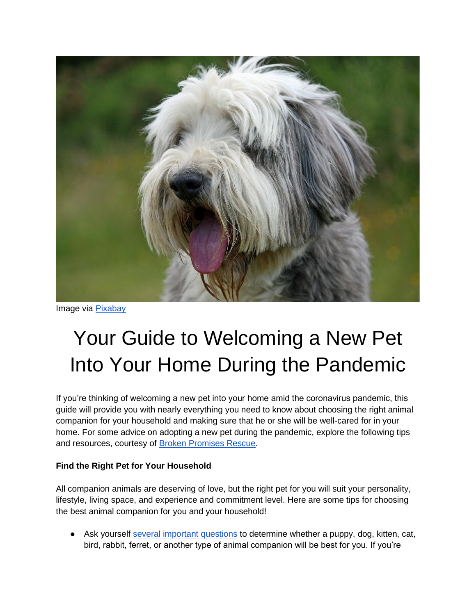

Image via [Pixabay](https://pixabay.com/photos/dog-bearded-collie-collie-beautiful-220391/)

# Your Guide to Welcoming a New Pet Into Your Home During the Pandemic

If you're thinking of welcoming a new pet into your home amid the coronavirus pandemic, this guide will provide you with nearly everything you need to know about choosing the right animal companion for your household and making sure that he or she will be well-cared for in your home. For some advice on adopting a new pet during the pandemic, explore the following tips and resources, courtesy of **Broken Promises Rescue.** 

## **Find the Right Pet for Your Household**

All companion animals are deserving of love, but the right pet for you will suit your personality, lifestyle, living space, and experience and commitment level. Here are some tips for choosing the best animal companion for you and your household!

Ask yourself [several important questions](https://resources.bestfriends.org/article/choosing-pet) to determine whether a puppy, dog, kitten, cat, bird, rabbit, ferret, or another type of animal companion will be best for you. If you're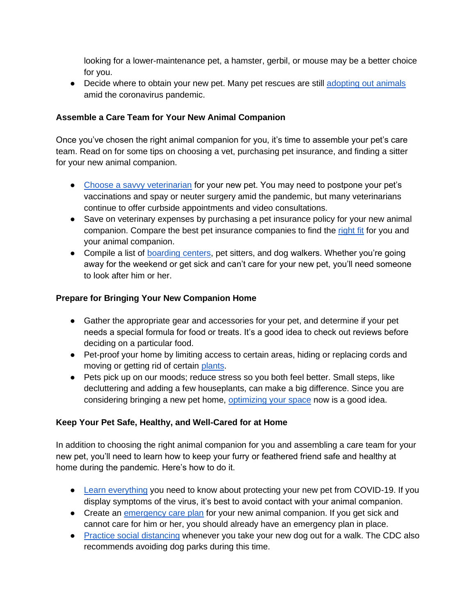looking for a lower-maintenance pet, a hamster, gerbil, or mouse may be a better choice for you.

• Decide where to obtain your new pet. Many pet rescues are still [adopting out animals](https://www.npr.org/2020/05/08/853088872/should-i-adopt-a-dog-during-the-coronavirus-crisis-read-this-first) amid the coronavirus pandemic.

### **Assemble a Care Team for Your New Animal Companion**

Once you've chosen the right animal companion for you, it's time to assemble your pet's care team. Read on for some tips on choosing a vet, purchasing pet insurance, and finding a sitter for your new animal companion.

- [Choose a savvy veterinarian](https://bcpetregistry.ca/find-a-veterinarian/) for your new pet. You may need to postpone your pet's vaccinations and spay or neuter surgery amid the pandemic, but many veterinarians continue to offer curbside appointments and video consultations.
- Save on veterinary expenses by purchasing a pet insurance policy for your new animal companion. Compare the best pet insurance companies to find the [right fit](https://www.progressive.com/pet-insurance/) for you and your animal companion.
- Compile a list of [boarding](https://spca.bc.ca/news/selecting-dog-daycare/) centers, pet sitters, and dog walkers. Whether you're going away for the weekend or get sick and can't care for your new pet, you'll need someone to look after him or her.

### **Prepare for Bringing Your New Companion Home**

- Gather the appropriate gear and accessories for your pet, and determine if your pet needs a special formula for food or treats. It's a good idea to check out reviews before deciding on a particular food.
- Pet-proof your home by limiting access to certain areas, hiding or replacing cords and moving or getting rid of certain [plants.](https://ecostems.ca/plants/pet-friendly-houseplants.html)
- Pets pick up on our moods; reduce stress so you both feel better. Small steps, like decluttering and adding a few houseplants, can make a big difference. Since you are considering bringing a new pet home, [optimizing your space](https://www.redfin.com/blog/a-healthy-home-is-a-happy-home-how-to-optimize-your-home-for-healthy-stress-free-living) now is a good idea.

#### **Keep Your Pet Safe, Healthy, and Well-Cared for at Home**

In addition to choosing the right animal companion for you and assembling a care team for your new pet, you'll need to learn how to keep your furry or feathered friend safe and healthy at home during the pandemic. Here's how to do it.

- [Learn everything](https://www.canada.ca/en/public-health/services/diseases/2019-novel-coronavirus-infection/prevention-risks/animals-covid-19.html) you need to know about protecting your new pet from COVID-19. If you display symptoms of the virus, it's best to avoid contact with your animal companion.
- Create an [emergency care plan](https://www.huffpost.com/entry/pets-coronavirus-emergency-plan-cat-dog-covid-19_l_5e7e2703c5b6256a7a298c30) for your new animal companion. If you get sick and cannot care for him or her, you should already have an emergency plan in place.
- [Practice social distancing](https://www.akc.org/expert-advice/news/can-i-walk-my-dog-during-a-pandemic/) whenever you take your new dog out for a walk. The CDC also recommends avoiding dog parks during this time.